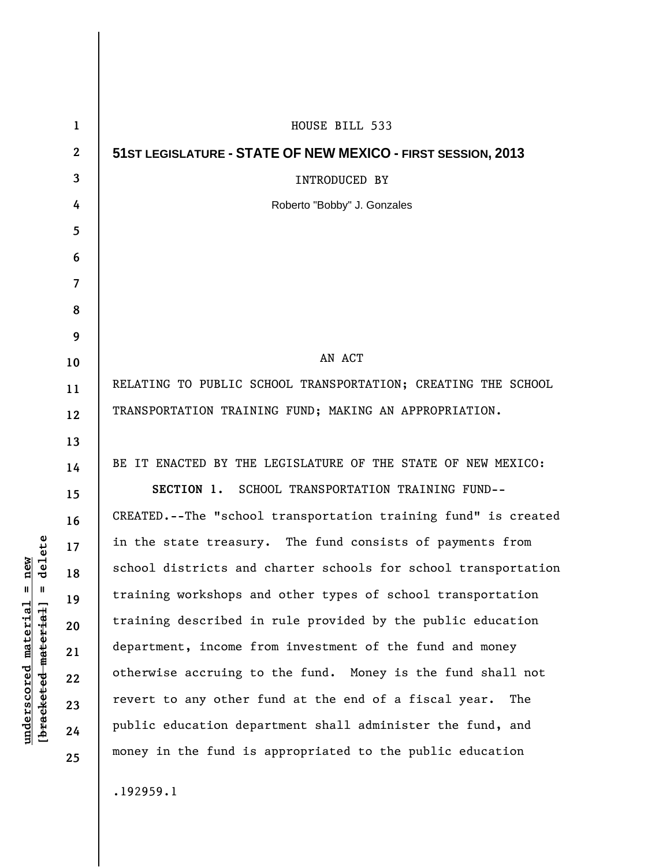| $\mathbf{1}$   | HOUSE BILL 533                                                 |
|----------------|----------------------------------------------------------------|
| $\mathbf{2}$   | 51ST LEGISLATURE - STATE OF NEW MEXICO - FIRST SESSION, 2013   |
| 3              | INTRODUCED BY                                                  |
| 4              | Roberto "Bobby" J. Gonzales                                    |
| 5              |                                                                |
| 6              |                                                                |
| $\overline{7}$ |                                                                |
| 8              |                                                                |
| 9              |                                                                |
| 10             | AN ACT                                                         |
| 11             | RELATING TO PUBLIC SCHOOL TRANSPORTATION; CREATING THE SCHOOL  |
| 12             | TRANSPORTATION TRAINING FUND; MAKING AN APPROPRIATION.         |
| 13             |                                                                |
| 14             | BE IT ENACTED BY THE LEGISLATURE OF THE STATE OF NEW MEXICO:   |
| 15             | SECTION 1. SCHOOL TRANSPORTATION TRAINING FUND--               |
| 16             | CREATED.--The "school transportation training fund" is created |
| 17             | in the state treasury. The fund consists of payments from      |
| 18             | school districts and charter schools for school transportation |
| 19             | training workshops and other types of school transportation    |
| 20             | training described in rule provided by the public education    |
| 21             | department, income from investment of the fund and money       |
| 22             | otherwise accruing to the fund. Money is the fund shall not    |
| 23             | revert to any other fund at the end of a fiscal year.<br>The   |
| 24             | public education department shall administer the fund, and     |
| 25             | money in the fund is appropriated to the public education      |
|                | 100000                                                         |

 $[**bracket**et~~eted matcherial~~] = **delete**$ **[bracketed material] = delete**  $underscored material = new$ **underscored material = new**

.192959.1